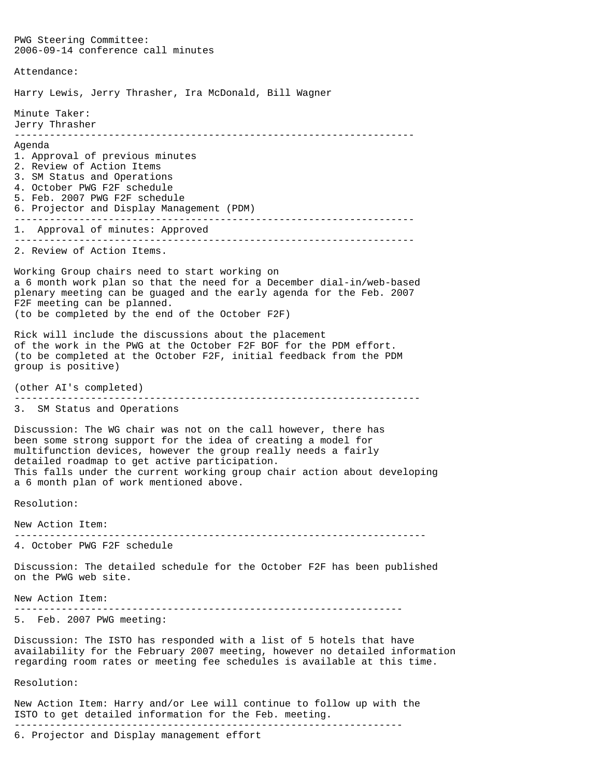PWG Steering Committee: 2006-09-14 conference call minutes Attendance: Harry Lewis, Jerry Thrasher, Ira McDonald, Bill Wagner Minute Taker: Jerry Thrasher -------------------------------------------------------------------- Agenda 1. Approval of previous minutes 2. Review of Action Items 3. SM Status and Operations 4. October PWG F2F schedule 5. Feb. 2007 PWG F2F schedule 6. Projector and Display Management (PDM) -------------------------------------------------------------------- 1. Approval of minutes: Approved -------------------------------------------------------------------- 2. Review of Action Items. Working Group chairs need to start working on a 6 month work plan so that the need for a December dial-in/web-based plenary meeting can be guaged and the early agenda for the Feb. 2007 F2F meeting can be planned. (to be completed by the end of the October F2F) Rick will include the discussions about the placement of the work in the PWG at the October F2F BOF for the PDM effort. (to be completed at the October F2F, initial feedback from the PDM group is positive) (other AI's completed) --------------------------------------------------------------------- 3. SM Status and Operations Discussion: The WG chair was not on the call however, there has been some strong support for the idea of creating a model for multifunction devices, however the group really needs a fairly detailed roadmap to get active participation. This falls under the current working group chair action about developing a 6 month plan of work mentioned above. Resolution: New Action Item: ---------------------------------------------------------------------- 4. October PWG F2F schedule Discussion: The detailed schedule for the October F2F has been published on the PWG web site. New Action Item: ------------------------------------------------------------------ 5. Feb. 2007 PWG meeting: Discussion: The ISTO has responded with a list of 5 hotels that have availability for the February 2007 meeting, however no detailed information regarding room rates or meeting fee schedules is available at this time. Resolution: New Action Item: Harry and/or Lee will continue to follow up with the

ISTO to get detailed information for the Feb. meeting. ------------------------------------------------------------------

6. Projector and Display management effort